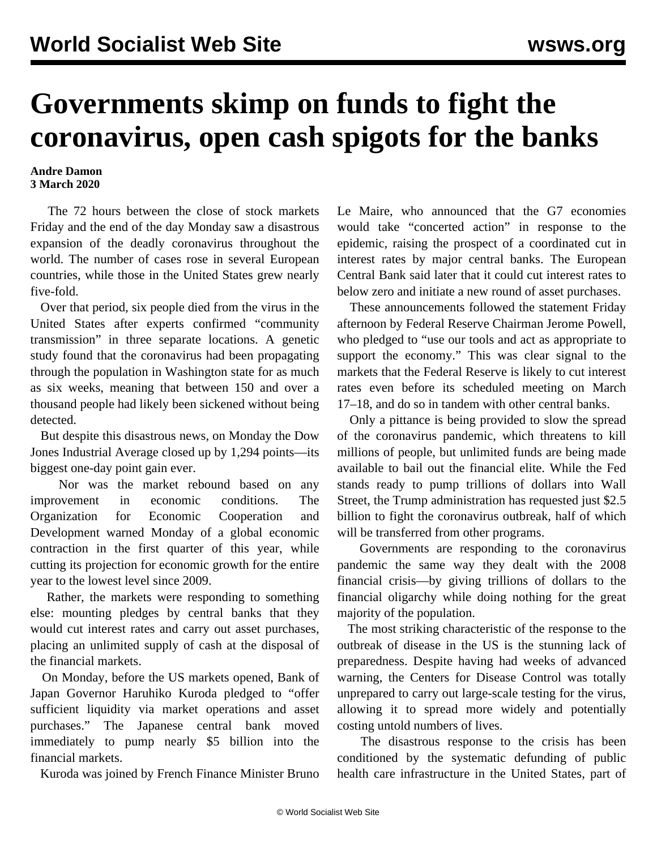## **Governments skimp on funds to fight the coronavirus, open cash spigots for the banks**

## **Andre Damon 3 March 2020**

 The 72 hours between the close of stock markets Friday and the end of the day Monday saw a disastrous expansion of the deadly coronavirus throughout the world. The number of cases rose in several European countries, while those in the United States grew nearly five-fold.

 Over that period, six people died from the virus in the United States after experts confirmed "community transmission" in three separate locations. A genetic study found that the coronavirus had been propagating through the population in Washington state for as much as six weeks, meaning that between 150 and over a thousand people had likely been sickened without being detected.

 But despite this disastrous news, on Monday the Dow Jones Industrial Average closed up by 1,294 points—its biggest one-day point gain ever.

 Nor was the market rebound based on any improvement in economic conditions. The Organization for Economic Cooperation and Development warned Monday of a global economic contraction in the first quarter of this year, while cutting its projection for economic growth for the entire year to the lowest level since 2009.

 Rather, the markets were responding to something else: mounting pledges by central banks that they would cut interest rates and carry out asset purchases, placing an unlimited supply of cash at the disposal of the financial markets.

 On Monday, before the US markets opened, Bank of Japan Governor Haruhiko Kuroda pledged to "offer sufficient liquidity via market operations and asset purchases." The Japanese central bank moved immediately to pump nearly \$5 billion into the financial markets.

Kuroda was joined by French Finance Minister Bruno

Le Maire, who announced that the G7 economies would take "concerted action" in response to the epidemic, raising the prospect of a coordinated cut in interest rates by major central banks. The European Central Bank said later that it could cut interest rates to below zero and initiate a new round of asset purchases.

 These announcements followed the statement Friday afternoon by Federal Reserve Chairman Jerome Powell, who pledged to "use our tools and act as appropriate to support the economy." This was clear signal to the markets that the Federal Reserve is likely to cut interest rates even before its scheduled meeting on March 17–18, and do so in tandem with other central banks.

 Only a pittance is being provided to slow the spread of the coronavirus pandemic, which threatens to kill millions of people, but unlimited funds are being made available to bail out the financial elite. While the Fed stands ready to pump trillions of dollars into Wall Street, the Trump administration has requested just \$2.5 billion to fight the coronavirus outbreak, half of which will be transferred from other programs.

 Governments are responding to the coronavirus pandemic the same way they dealt with the 2008 financial crisis—by giving trillions of dollars to the financial oligarchy while doing nothing for the great majority of the population.

 The most striking characteristic of the response to the outbreak of disease in the US is the stunning lack of preparedness. Despite having had weeks of advanced warning, the Centers for Disease Control was totally unprepared to carry out large-scale testing for the virus, allowing it to spread more widely and potentially costing untold numbers of lives.

 The disastrous response to the crisis has been conditioned by the systematic defunding of public health care infrastructure in the United States, part of